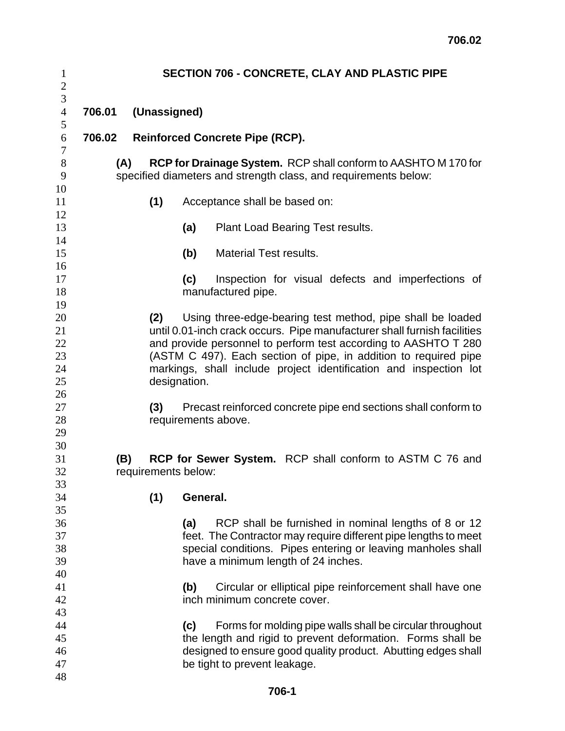| $\mathbf{1}$<br>$\overline{c}$         | <b>SECTION 706 - CONCRETE, CLAY AND PLASTIC PIPE</b>                                                                                                                                                                                                                                                                                                                      |     |                                                                                                                                                                                                                                                   |  |  |  |  |
|----------------------------------------|---------------------------------------------------------------------------------------------------------------------------------------------------------------------------------------------------------------------------------------------------------------------------------------------------------------------------------------------------------------------------|-----|---------------------------------------------------------------------------------------------------------------------------------------------------------------------------------------------------------------------------------------------------|--|--|--|--|
| 3<br>$\overline{4}$<br>5               | 706.01<br>(Unassigned)                                                                                                                                                                                                                                                                                                                                                    |     |                                                                                                                                                                                                                                                   |  |  |  |  |
| 6<br>7                                 | 706.02<br><b>Reinforced Concrete Pipe (RCP).</b>                                                                                                                                                                                                                                                                                                                          |     |                                                                                                                                                                                                                                                   |  |  |  |  |
| $8\,$<br>9                             | <b>RCP for Drainage System.</b> RCP shall conform to AASHTO M 170 for<br>(A)<br>specified diameters and strength class, and requirements below:                                                                                                                                                                                                                           |     |                                                                                                                                                                                                                                                   |  |  |  |  |
| 10<br>11<br>12                         |                                                                                                                                                                                                                                                                                                                                                                           | (1) | Acceptance shall be based on:                                                                                                                                                                                                                     |  |  |  |  |
| 13<br>14                               |                                                                                                                                                                                                                                                                                                                                                                           |     | (a)<br>Plant Load Bearing Test results.                                                                                                                                                                                                           |  |  |  |  |
| 15<br>16                               |                                                                                                                                                                                                                                                                                                                                                                           |     | (b)<br><b>Material Test results.</b>                                                                                                                                                                                                              |  |  |  |  |
| 17<br>18<br>19                         |                                                                                                                                                                                                                                                                                                                                                                           |     | Inspection for visual defects and imperfections of<br>(c)<br>manufactured pipe.                                                                                                                                                                   |  |  |  |  |
| 20<br>21<br>22<br>23<br>24<br>25       | Using three-edge-bearing test method, pipe shall be loaded<br>(2)<br>until 0.01-inch crack occurs. Pipe manufacturer shall furnish facilities<br>and provide personnel to perform test according to AASHTO T 280<br>(ASTM C 497). Each section of pipe, in addition to required pipe<br>markings, shall include project identification and inspection lot<br>designation. |     |                                                                                                                                                                                                                                                   |  |  |  |  |
| 26<br>27<br>28<br>29<br>30             | Precast reinforced concrete pipe end sections shall conform to<br>(3)<br>requirements above.                                                                                                                                                                                                                                                                              |     |                                                                                                                                                                                                                                                   |  |  |  |  |
| 31<br>32<br>33                         | <b>RCP for Sewer System.</b> RCP shall conform to ASTM C 76 and<br>(B)<br>requirements below:                                                                                                                                                                                                                                                                             |     |                                                                                                                                                                                                                                                   |  |  |  |  |
| 34<br>35<br>36<br>37<br>38<br>39<br>40 |                                                                                                                                                                                                                                                                                                                                                                           | (1) | General.<br>RCP shall be furnished in nominal lengths of 8 or 12<br>(a)<br>feet. The Contractor may require different pipe lengths to meet<br>special conditions. Pipes entering or leaving manholes shall<br>have a minimum length of 24 inches. |  |  |  |  |
| 41<br>42<br>43                         | Circular or elliptical pipe reinforcement shall have one<br>(b)<br>inch minimum concrete cover.                                                                                                                                                                                                                                                                           |     |                                                                                                                                                                                                                                                   |  |  |  |  |
| 44<br>45<br>46<br>47<br>48             | Forms for molding pipe walls shall be circular throughout<br>(c)<br>the length and rigid to prevent deformation. Forms shall be<br>designed to ensure good quality product. Abutting edges shall<br>be tight to prevent leakage.                                                                                                                                          |     |                                                                                                                                                                                                                                                   |  |  |  |  |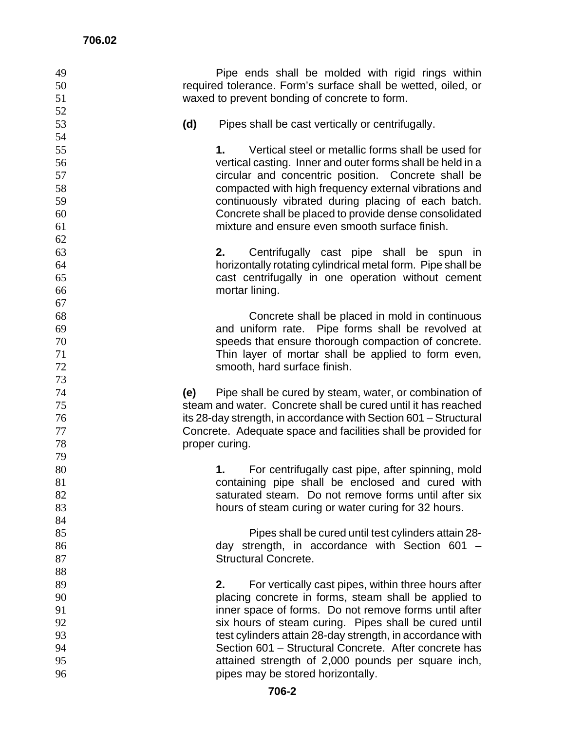| 49 | Pipe ends shall be molded with rigid rings within                |
|----|------------------------------------------------------------------|
| 50 | required tolerance. Form's surface shall be wetted, oiled, or    |
| 51 | waxed to prevent bonding of concrete to form.                    |
| 52 |                                                                  |
| 53 | Pipes shall be cast vertically or centrifugally.<br>(d)          |
| 54 |                                                                  |
| 55 | Vertical steel or metallic forms shall be used for<br>1.         |
| 56 | vertical casting. Inner and outer forms shall be held in a       |
| 57 | circular and concentric position. Concrete shall be              |
| 58 | compacted with high frequency external vibrations and            |
| 59 | continuously vibrated during placing of each batch.              |
| 60 | Concrete shall be placed to provide dense consolidated           |
| 61 | mixture and ensure even smooth surface finish.                   |
| 62 |                                                                  |
| 63 | 2.<br>Centrifugally cast pipe shall be spun in                   |
| 64 | horizontally rotating cylindrical metal form. Pipe shall be      |
| 65 | cast centrifugally in one operation without cement               |
| 66 | mortar lining.                                                   |
| 67 |                                                                  |
| 68 | Concrete shall be placed in mold in continuous                   |
| 69 | and uniform rate. Pipe forms shall be revolved at                |
| 70 | speeds that ensure thorough compaction of concrete.              |
| 71 | Thin layer of mortar shall be applied to form even,              |
| 72 | smooth, hard surface finish.                                     |
| 73 |                                                                  |
| 74 | Pipe shall be cured by steam, water, or combination of<br>(e)    |
| 75 | steam and water. Concrete shall be cured until it has reached    |
| 76 | its 28-day strength, in accordance with Section 601 – Structural |
| 77 | Concrete. Adequate space and facilities shall be provided for    |
| 78 | proper curing.                                                   |
| 79 |                                                                  |
| 80 | For centrifugally cast pipe, after spinning, mold<br>1.          |
| 81 | containing pipe shall be enclosed and cured with                 |
| 82 | saturated steam. Do not remove forms until after six             |
| 83 | hours of steam curing or water curing for 32 hours.              |
| 84 |                                                                  |
| 85 | Pipes shall be cured until test cylinders attain 28-             |
| 86 | day strength, in accordance with Section 601 -                   |
| 87 | <b>Structural Concrete.</b>                                      |
| 88 |                                                                  |
| 89 | For vertically cast pipes, within three hours after<br>2.        |
| 90 | placing concrete in forms, steam shall be applied to             |
| 91 | inner space of forms. Do not remove forms until after            |
| 92 | six hours of steam curing. Pipes shall be cured until            |
| 93 | test cylinders attain 28-day strength, in accordance with        |
| 94 | Section 601 - Structural Concrete. After concrete has            |
| 95 | attained strength of 2,000 pounds per square inch,               |
| 96 | pipes may be stored horizontally.                                |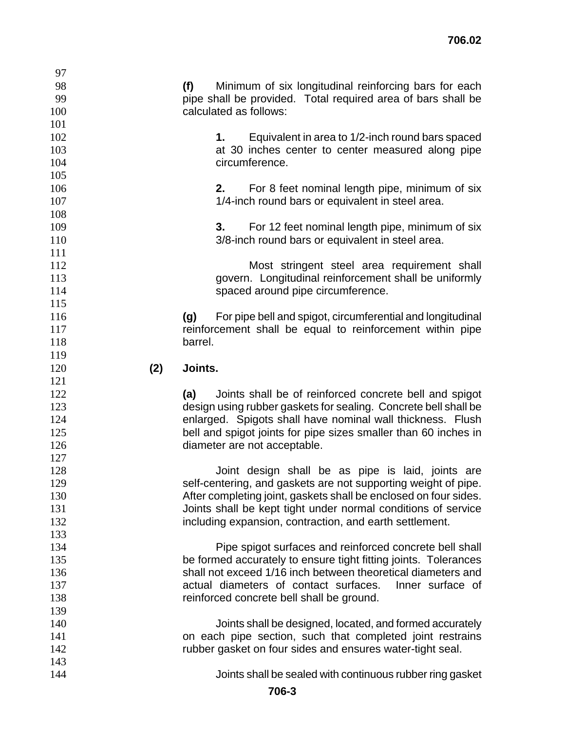| 97         |     |                                                                   |
|------------|-----|-------------------------------------------------------------------|
| 98         |     | Minimum of six longitudinal reinforcing bars for each<br>(f)      |
| 99         |     | pipe shall be provided. Total required area of bars shall be      |
| 100        |     | calculated as follows:                                            |
| 101        |     |                                                                   |
| 102        |     | 1. Equivalent in area to 1/2-inch round bars spaced               |
| 103        |     | at 30 inches center to center measured along pipe                 |
| 104        |     | circumference.                                                    |
| 105        |     |                                                                   |
| 106        |     | For 8 feet nominal length pipe, minimum of six<br>2.              |
| 107        |     | 1/4-inch round bars or equivalent in steel area.                  |
| 108        |     |                                                                   |
| 109        |     | 3.<br>For 12 feet nominal length pipe, minimum of six             |
| 110        |     | 3/8-inch round bars or equivalent in steel area.                  |
| 111        |     |                                                                   |
| 112        |     | Most stringent steel area requirement shall                       |
| 113        |     | govern. Longitudinal reinforcement shall be uniformly             |
| 114        |     | spaced around pipe circumference.                                 |
| 115        |     |                                                                   |
| 116        |     | For pipe bell and spigot, circumferential and longitudinal<br>(g) |
| 117        |     | reinforcement shall be equal to reinforcement within pipe         |
| 118        |     | barrel.                                                           |
| 119        |     |                                                                   |
| 120        | (2) | Joints.                                                           |
| 121        |     |                                                                   |
| 122        |     | (a)<br>Joints shall be of reinforced concrete bell and spigot     |
| 123        |     | design using rubber gaskets for sealing. Concrete bell shall be   |
| 124        |     | enlarged. Spigots shall have nominal wall thickness. Flush        |
| 125        |     | bell and spigot joints for pipe sizes smaller than 60 inches in   |
| 126        |     | diameter are not acceptable.                                      |
| 127        |     |                                                                   |
| 128        |     | Joint design shall be as pipe is laid, joints are                 |
| 129        |     | self-centering, and gaskets are not supporting weight of pipe.    |
| 130        |     | After completing joint, gaskets shall be enclosed on four sides.  |
| 131        |     | Joints shall be kept tight under normal conditions of service     |
| 132        |     | including expansion, contraction, and earth settlement.           |
| 133        |     |                                                                   |
| 134        |     | Pipe spigot surfaces and reinforced concrete bell shall           |
| 135        |     | be formed accurately to ensure tight fitting joints. Tolerances   |
| 136        |     | shall not exceed 1/16 inch between theoretical diameters and      |
| 137        |     | actual diameters of contact surfaces.<br>Inner surface of         |
| 138        |     | reinforced concrete bell shall be ground.                         |
| 139        |     |                                                                   |
| 140        |     |                                                                   |
|            |     | Joints shall be designed, located, and formed accurately          |
| 141        |     | on each pipe section, such that completed joint restrains         |
| 142        |     | rubber gasket on four sides and ensures water-tight seal.         |
| 143<br>144 |     | Joints shall be sealed with continuous rubber ring gasket         |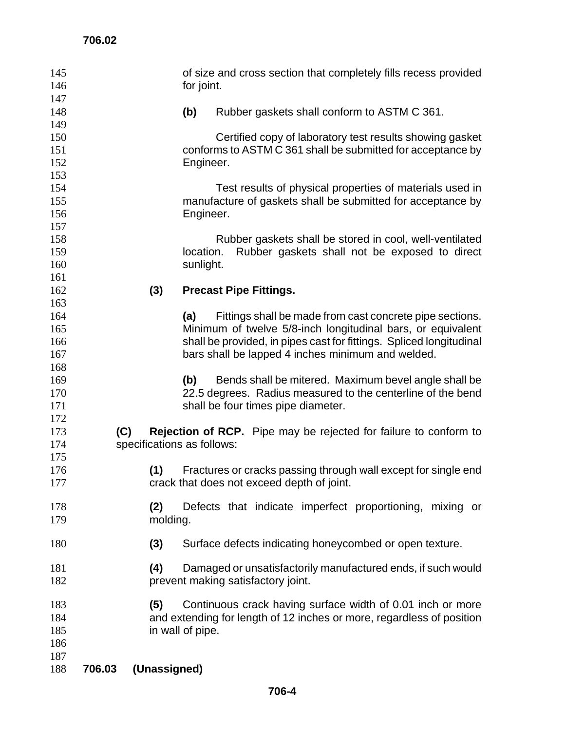| 147<br>148<br>(b)<br>Rubber gaskets shall conform to ASTM C 361.<br>149<br>150<br>Certified copy of laboratory test results showing gasket<br>conforms to ASTM C 361 shall be submitted for acceptance by<br>151<br>152<br>Engineer.<br>153<br>154<br>Test results of physical properties of materials used in<br>manufacture of gaskets shall be submitted for acceptance by<br>155<br>156<br>Engineer.<br>157<br>158<br>Rubber gaskets shall be stored in cool, well-ventilated<br>159<br>Rubber gaskets shall not be exposed to direct<br>location.<br>160<br>sunlight.<br>161 |
|-----------------------------------------------------------------------------------------------------------------------------------------------------------------------------------------------------------------------------------------------------------------------------------------------------------------------------------------------------------------------------------------------------------------------------------------------------------------------------------------------------------------------------------------------------------------------------------|
|                                                                                                                                                                                                                                                                                                                                                                                                                                                                                                                                                                                   |
|                                                                                                                                                                                                                                                                                                                                                                                                                                                                                                                                                                                   |
|                                                                                                                                                                                                                                                                                                                                                                                                                                                                                                                                                                                   |
|                                                                                                                                                                                                                                                                                                                                                                                                                                                                                                                                                                                   |
|                                                                                                                                                                                                                                                                                                                                                                                                                                                                                                                                                                                   |
|                                                                                                                                                                                                                                                                                                                                                                                                                                                                                                                                                                                   |
|                                                                                                                                                                                                                                                                                                                                                                                                                                                                                                                                                                                   |
|                                                                                                                                                                                                                                                                                                                                                                                                                                                                                                                                                                                   |
|                                                                                                                                                                                                                                                                                                                                                                                                                                                                                                                                                                                   |
|                                                                                                                                                                                                                                                                                                                                                                                                                                                                                                                                                                                   |
|                                                                                                                                                                                                                                                                                                                                                                                                                                                                                                                                                                                   |
| 162<br>(3)<br><b>Precast Pipe Fittings.</b>                                                                                                                                                                                                                                                                                                                                                                                                                                                                                                                                       |
| 163                                                                                                                                                                                                                                                                                                                                                                                                                                                                                                                                                                               |
| 164<br>Fittings shall be made from cast concrete pipe sections.<br>(a)                                                                                                                                                                                                                                                                                                                                                                                                                                                                                                            |
| Minimum of twelve 5/8-inch longitudinal bars, or equivalent<br>165                                                                                                                                                                                                                                                                                                                                                                                                                                                                                                                |
| shall be provided, in pipes cast for fittings. Spliced longitudinal<br>166<br>bars shall be lapped 4 inches minimum and welded.<br>167                                                                                                                                                                                                                                                                                                                                                                                                                                            |
| 168                                                                                                                                                                                                                                                                                                                                                                                                                                                                                                                                                                               |
| Bends shall be mitered. Maximum bevel angle shall be<br>169<br>(b)                                                                                                                                                                                                                                                                                                                                                                                                                                                                                                                |
| 22.5 degrees. Radius measured to the centerline of the bend<br>170                                                                                                                                                                                                                                                                                                                                                                                                                                                                                                                |
| 171<br>shall be four times pipe diameter.                                                                                                                                                                                                                                                                                                                                                                                                                                                                                                                                         |
| 172<br>(C)<br>173                                                                                                                                                                                                                                                                                                                                                                                                                                                                                                                                                                 |
| <b>Rejection of RCP.</b> Pipe may be rejected for failure to conform to<br>specifications as follows:<br>174                                                                                                                                                                                                                                                                                                                                                                                                                                                                      |
| 175                                                                                                                                                                                                                                                                                                                                                                                                                                                                                                                                                                               |
| (1)<br>Fractures or cracks passing through wall except for single end<br>176                                                                                                                                                                                                                                                                                                                                                                                                                                                                                                      |
| crack that does not exceed depth of joint.<br>177                                                                                                                                                                                                                                                                                                                                                                                                                                                                                                                                 |
| Defects that indicate imperfect proportioning, mixing or<br>178<br>(2)                                                                                                                                                                                                                                                                                                                                                                                                                                                                                                            |
| 179<br>molding.                                                                                                                                                                                                                                                                                                                                                                                                                                                                                                                                                                   |
| Surface defects indicating honeycombed or open texture.<br>180<br>(3)                                                                                                                                                                                                                                                                                                                                                                                                                                                                                                             |
| (4)<br>Damaged or unsatisfactorily manufactured ends, if such would<br>181                                                                                                                                                                                                                                                                                                                                                                                                                                                                                                        |
| prevent making satisfactory joint.<br>182                                                                                                                                                                                                                                                                                                                                                                                                                                                                                                                                         |
| Continuous crack having surface width of 0.01 inch or more<br>183<br>(5)                                                                                                                                                                                                                                                                                                                                                                                                                                                                                                          |
| and extending for length of 12 inches or more, regardless of position<br>184                                                                                                                                                                                                                                                                                                                                                                                                                                                                                                      |
| in wall of pipe.<br>185                                                                                                                                                                                                                                                                                                                                                                                                                                                                                                                                                           |
| 186<br>187                                                                                                                                                                                                                                                                                                                                                                                                                                                                                                                                                                        |
| 706.03<br>(Unassigned)<br>188                                                                                                                                                                                                                                                                                                                                                                                                                                                                                                                                                     |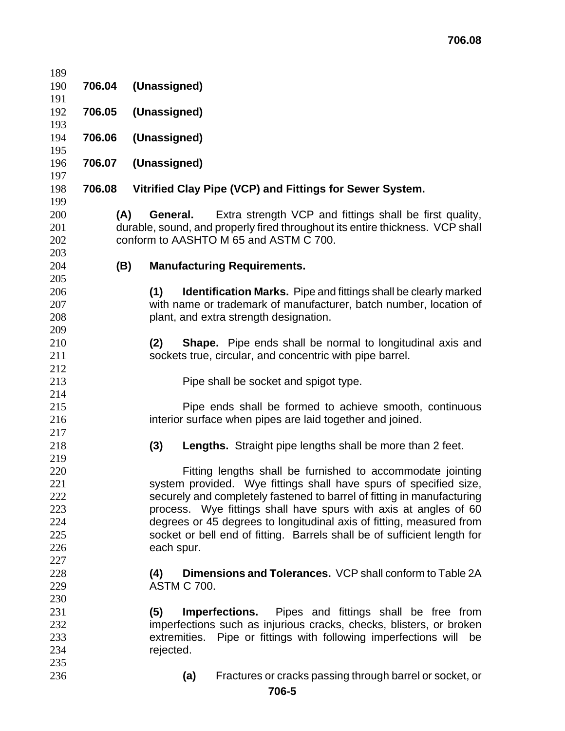| 189                      |        |                                                                                                                                                                                                    |
|--------------------------|--------|----------------------------------------------------------------------------------------------------------------------------------------------------------------------------------------------------|
| 190                      | 706.04 | (Unassigned)                                                                                                                                                                                       |
| 191                      |        |                                                                                                                                                                                                    |
| 192                      | 706.05 | (Unassigned)                                                                                                                                                                                       |
| 193                      |        |                                                                                                                                                                                                    |
| 194                      | 706.06 | (Unassigned)                                                                                                                                                                                       |
| 195                      |        |                                                                                                                                                                                                    |
| 196<br>197               | 706.07 | (Unassigned)                                                                                                                                                                                       |
| 198<br>199               | 706.08 | Vitrified Clay Pipe (VCP) and Fittings for Sewer System.                                                                                                                                           |
| 200<br>201<br>202<br>203 | (A)    | <b>General.</b> Extra strength VCP and fittings shall be first quality,<br>durable, sound, and properly fired throughout its entire thickness. VCP shall<br>conform to AASHTO M 65 and ASTM C 700. |
| 204                      | (B)    | <b>Manufacturing Requirements.</b>                                                                                                                                                                 |
| 205                      |        |                                                                                                                                                                                                    |
| 206                      |        | <b>Identification Marks.</b> Pipe and fittings shall be clearly marked<br>(1)                                                                                                                      |
| 207                      |        | with name or trademark of manufacturer, batch number, location of                                                                                                                                  |
| 208                      |        | plant, and extra strength designation.                                                                                                                                                             |
| 209                      |        |                                                                                                                                                                                                    |
| 210                      |        | <b>Shape.</b> Pipe ends shall be normal to longitudinal axis and<br>(2)                                                                                                                            |
| 211                      |        | sockets true, circular, and concentric with pipe barrel.                                                                                                                                           |
| 212                      |        |                                                                                                                                                                                                    |
| 213                      |        | Pipe shall be socket and spigot type.                                                                                                                                                              |
| 214                      |        |                                                                                                                                                                                                    |
| 215                      |        | Pipe ends shall be formed to achieve smooth, continuous                                                                                                                                            |
| 216                      |        | interior surface when pipes are laid together and joined.                                                                                                                                          |
| 217                      |        |                                                                                                                                                                                                    |
| 218                      |        | <b>Lengths.</b> Straight pipe lengths shall be more than 2 feet.<br>(3)                                                                                                                            |
| 219                      |        |                                                                                                                                                                                                    |
| 220                      |        | Fitting lengths shall be furnished to accommodate jointing                                                                                                                                         |
| 221<br>222               |        | system provided. Wye fittings shall have spurs of specified size,<br>securely and completely fastened to barrel of fitting in manufacturing                                                        |
| 223                      |        | process. Wye fittings shall have spurs with axis at angles of 60                                                                                                                                   |
| 224                      |        | degrees or 45 degrees to longitudinal axis of fitting, measured from                                                                                                                               |
| 225                      |        | socket or bell end of fitting. Barrels shall be of sufficient length for                                                                                                                           |
| 226                      |        | each spur.                                                                                                                                                                                         |
| 227                      |        |                                                                                                                                                                                                    |
| 228                      |        | <b>Dimensions and Tolerances.</b> VCP shall conform to Table 2A<br>(4)                                                                                                                             |
| 229                      |        | <b>ASTM C 700.</b>                                                                                                                                                                                 |
| 230                      |        |                                                                                                                                                                                                    |
| 231                      |        | (5)<br>Pipes and fittings shall be free from<br>Imperfections.                                                                                                                                     |
| 232                      |        | imperfections such as injurious cracks, checks, blisters, or broken                                                                                                                                |
| 233                      |        | extremities. Pipe or fittings with following imperfections will be                                                                                                                                 |
| 234                      |        | rejected.                                                                                                                                                                                          |
| 235                      |        |                                                                                                                                                                                                    |
| 236                      |        | Fractures or cracks passing through barrel or socket, or<br>(a)                                                                                                                                    |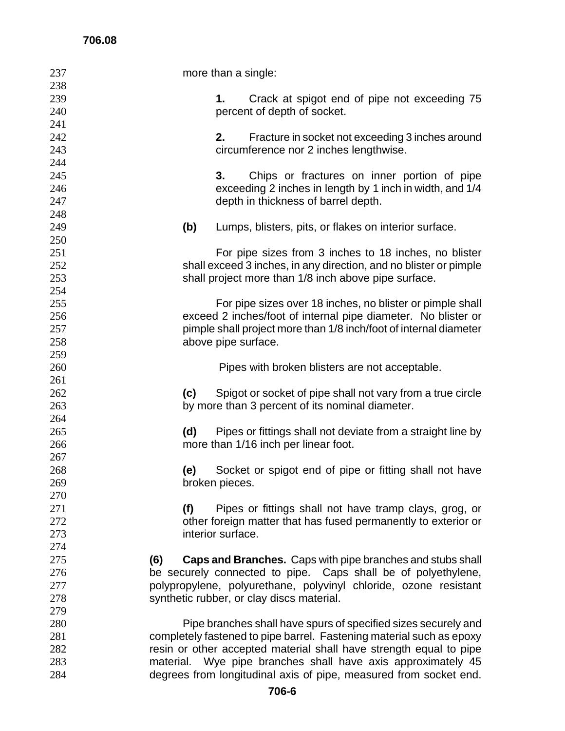| 237 | more than a single: |                                                                      |  |  |  |
|-----|---------------------|----------------------------------------------------------------------|--|--|--|
| 238 |                     |                                                                      |  |  |  |
| 239 |                     | Crack at spigot end of pipe not exceeding 75<br>1.                   |  |  |  |
| 240 |                     | percent of depth of socket.                                          |  |  |  |
| 241 |                     |                                                                      |  |  |  |
| 242 |                     | 2.<br>Fracture in socket not exceeding 3 inches around               |  |  |  |
| 243 |                     | circumference nor 2 inches lengthwise.                               |  |  |  |
| 244 |                     |                                                                      |  |  |  |
| 245 |                     | Chips or fractures on inner portion of pipe<br>3.                    |  |  |  |
| 246 |                     | exceeding 2 inches in length by 1 inch in width, and 1/4             |  |  |  |
| 247 |                     | depth in thickness of barrel depth.                                  |  |  |  |
| 248 |                     |                                                                      |  |  |  |
| 249 | (b)                 | Lumps, blisters, pits, or flakes on interior surface.                |  |  |  |
| 250 |                     |                                                                      |  |  |  |
| 251 |                     | For pipe sizes from 3 inches to 18 inches, no blister                |  |  |  |
| 252 |                     | shall exceed 3 inches, in any direction, and no blister or pimple    |  |  |  |
| 253 |                     | shall project more than 1/8 inch above pipe surface.                 |  |  |  |
| 254 |                     |                                                                      |  |  |  |
| 255 |                     | For pipe sizes over 18 inches, no blister or pimple shall            |  |  |  |
| 256 |                     | exceed 2 inches/foot of internal pipe diameter. No blister or        |  |  |  |
| 257 |                     | pimple shall project more than 1/8 inch/foot of internal diameter    |  |  |  |
| 258 |                     | above pipe surface.                                                  |  |  |  |
| 259 |                     |                                                                      |  |  |  |
| 260 |                     | Pipes with broken blisters are not acceptable.                       |  |  |  |
| 261 |                     |                                                                      |  |  |  |
| 262 | (c)                 | Spigot or socket of pipe shall not vary from a true circle           |  |  |  |
| 263 |                     | by more than 3 percent of its nominal diameter.                      |  |  |  |
| 264 |                     |                                                                      |  |  |  |
| 265 | (d)                 | Pipes or fittings shall not deviate from a straight line by          |  |  |  |
| 266 |                     | more than 1/16 inch per linear foot.                                 |  |  |  |
| 267 |                     |                                                                      |  |  |  |
| 268 | (e)                 | Socket or spigot end of pipe or fitting shall not have               |  |  |  |
| 269 |                     | broken pieces.                                                       |  |  |  |
| 270 |                     |                                                                      |  |  |  |
| 271 | (f)                 | Pipes or fittings shall not have tramp clays, grog, or               |  |  |  |
| 272 |                     | other foreign matter that has fused permanently to exterior or       |  |  |  |
| 273 |                     | interior surface.                                                    |  |  |  |
| 274 |                     |                                                                      |  |  |  |
| 275 | (6)                 | <b>Caps and Branches.</b> Caps with pipe branches and stubs shall    |  |  |  |
| 276 |                     | be securely connected to pipe. Caps shall be of polyethylene,        |  |  |  |
| 277 |                     | polypropylene, polyurethane, polyvinyl chloride, ozone resistant     |  |  |  |
| 278 |                     | synthetic rubber, or clay discs material.                            |  |  |  |
| 279 |                     |                                                                      |  |  |  |
| 280 |                     | Pipe branches shall have spurs of specified sizes securely and       |  |  |  |
| 281 |                     | completely fastened to pipe barrel. Fastening material such as epoxy |  |  |  |
| 282 |                     | resin or other accepted material shall have strength equal to pipe   |  |  |  |
| 283 |                     | material. Wye pipe branches shall have axis approximately 45         |  |  |  |
| 284 |                     | degrees from longitudinal axis of pipe, measured from socket end.    |  |  |  |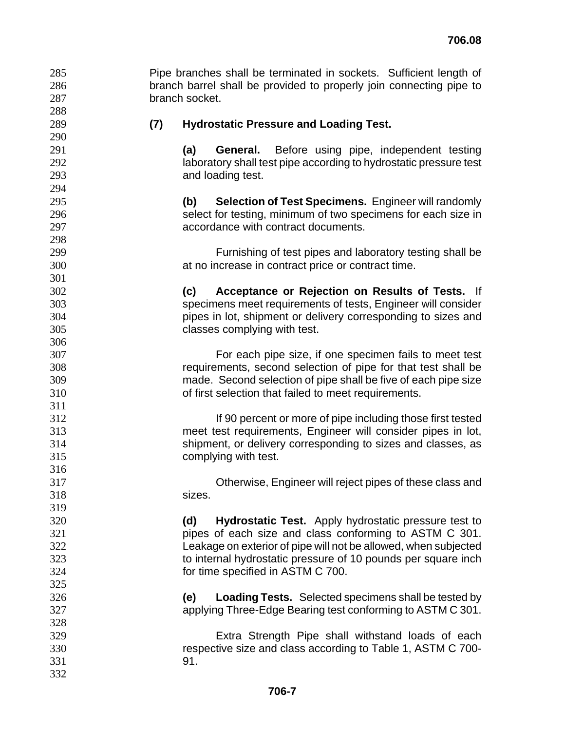Pipe branches shall be terminated in sockets. Sufficient length of branch barrel shall be provided to properly join connecting pipe to branch socket.

 

## **(7) Hydrostatic Pressure and Loading Test.**

**(a) General.** Before using pipe, independent testing 292 laboratory shall test pipe according to hydrostatic pressure test and loading test.

**(b) Selection of Test Specimens.** Engineer will randomly select for testing, minimum of two specimens for each size in accordance with contract documents.

Furnishing of test pipes and laboratory testing shall be at no increase in contract price or contract time.

**(c) Acceptance or Rejection on Results of Tests.** If specimens meet requirements of tests, Engineer will consider pipes in lot, shipment or delivery corresponding to sizes and classes complying with test.

For each pipe size, if one specimen fails to meet test requirements, second selection of pipe for that test shall be made. Second selection of pipe shall be five of each pipe size of first selection that failed to meet requirements.

If 90 percent or more of pipe including those first tested meet test requirements, Engineer will consider pipes in lot, shipment, or delivery corresponding to sizes and classes, as complying with test.

Otherwise, Engineer will reject pipes of these class and sizes.

**(d) Hydrostatic Test.** Apply hydrostatic pressure test to pipes of each size and class conforming to ASTM C 301. Leakage on exterior of pipe will not be allowed, when subjected to internal hydrostatic pressure of 10 pounds per square inch for time specified in ASTM C 700.

**(e) Loading Tests.** Selected specimens shall be tested by applying Three-Edge Bearing test conforming to ASTM C 301.

Extra Strength Pipe shall withstand loads of each respective size and class according to Table 1, ASTM C 700- 91.

 **706-7**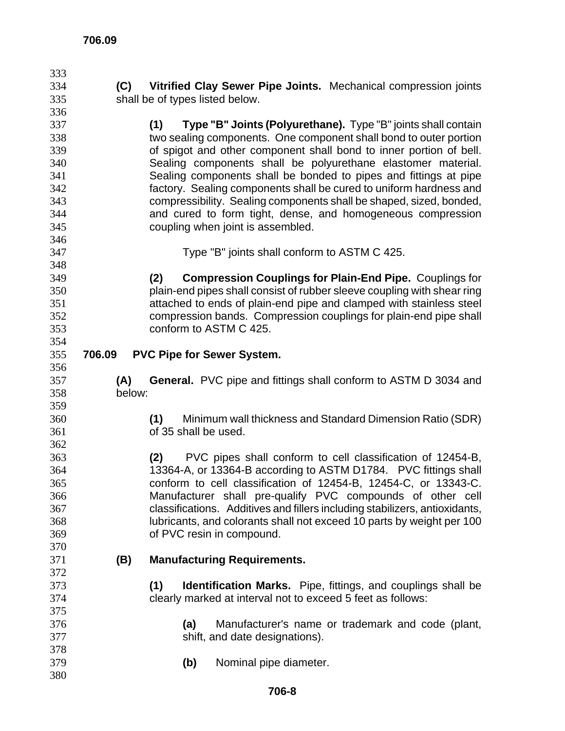| 333        |                                                             |                                                                             |  |  |  |  |
|------------|-------------------------------------------------------------|-----------------------------------------------------------------------------|--|--|--|--|
| 334        | (C)                                                         | Vitrified Clay Sewer Pipe Joints. Mechanical compression joints             |  |  |  |  |
| 335        |                                                             | shall be of types listed below.                                             |  |  |  |  |
| 336        |                                                             |                                                                             |  |  |  |  |
| 337        |                                                             | Type "B" Joints (Polyurethane). Type "B" joints shall contain<br>(1)        |  |  |  |  |
| 338        |                                                             | two sealing components. One component shall bond to outer portion           |  |  |  |  |
| 339        |                                                             | of spigot and other component shall bond to inner portion of bell.          |  |  |  |  |
| 340        |                                                             | Sealing components shall be polyurethane elastomer material.                |  |  |  |  |
| 341        |                                                             | Sealing components shall be bonded to pipes and fittings at pipe            |  |  |  |  |
| 342        |                                                             | factory. Sealing components shall be cured to uniform hardness and          |  |  |  |  |
| 343        |                                                             | compressibility. Sealing components shall be shaped, sized, bonded,         |  |  |  |  |
| 344        | and cured to form tight, dense, and homogeneous compression |                                                                             |  |  |  |  |
| 345        | coupling when joint is assembled.                           |                                                                             |  |  |  |  |
| 346        |                                                             |                                                                             |  |  |  |  |
| 347        |                                                             | Type "B" joints shall conform to ASTM C 425.                                |  |  |  |  |
| 348        |                                                             |                                                                             |  |  |  |  |
| 349        |                                                             | <b>Compression Couplings for Plain-End Pipe. Couplings for</b><br>(2)       |  |  |  |  |
| 350        |                                                             | plain-end pipes shall consist of rubber sleeve coupling with shear ring     |  |  |  |  |
| 351        |                                                             | attached to ends of plain-end pipe and clamped with stainless steel         |  |  |  |  |
| 352        |                                                             | compression bands. Compression couplings for plain-end pipe shall           |  |  |  |  |
| 353        |                                                             | conform to ASTM C 425.                                                      |  |  |  |  |
| 354        |                                                             |                                                                             |  |  |  |  |
| 355        | 706.09                                                      | <b>PVC Pipe for Sewer System.</b>                                           |  |  |  |  |
| 356        |                                                             |                                                                             |  |  |  |  |
|            |                                                             |                                                                             |  |  |  |  |
|            |                                                             |                                                                             |  |  |  |  |
| 357        | (A)                                                         | <b>General.</b> PVC pipe and fittings shall conform to ASTM D 3034 and      |  |  |  |  |
| 358        | below:                                                      |                                                                             |  |  |  |  |
| 359        |                                                             |                                                                             |  |  |  |  |
| 360        |                                                             | Minimum wall thickness and Standard Dimension Ratio (SDR)<br>(1)            |  |  |  |  |
| 361        |                                                             | of 35 shall be used.                                                        |  |  |  |  |
| 362        |                                                             |                                                                             |  |  |  |  |
| 363        |                                                             | PVC pipes shall conform to cell classification of 12454-B,<br>(2)           |  |  |  |  |
| 364        |                                                             | 13364-A, or 13364-B according to ASTM D1784. PVC fittings shall             |  |  |  |  |
| 365        |                                                             | conform to cell classification of 12454-B, 12454-C, or 13343-C.             |  |  |  |  |
| 366        |                                                             | Manufacturer shall pre-qualify PVC compounds of other cell                  |  |  |  |  |
| 367        |                                                             | classifications. Additives and fillers including stabilizers, antioxidants, |  |  |  |  |
| 368        |                                                             | lubricants, and colorants shall not exceed 10 parts by weight per 100       |  |  |  |  |
| 369        |                                                             | of PVC resin in compound.                                                   |  |  |  |  |
| 370        |                                                             |                                                                             |  |  |  |  |
| 371        | (B)                                                         | <b>Manufacturing Requirements.</b>                                          |  |  |  |  |
| 372        |                                                             |                                                                             |  |  |  |  |
| 373        |                                                             | (1)<br>Identification Marks. Pipe, fittings, and couplings shall be         |  |  |  |  |
| 374        |                                                             | clearly marked at interval not to exceed 5 feet as follows:                 |  |  |  |  |
| 375        |                                                             |                                                                             |  |  |  |  |
| 376        |                                                             | Manufacturer's name or trademark and code (plant,<br>(a)                    |  |  |  |  |
| 377        |                                                             | shift, and date designations).                                              |  |  |  |  |
| 378        |                                                             |                                                                             |  |  |  |  |
| 379<br>380 |                                                             | (b)<br>Nominal pipe diameter.                                               |  |  |  |  |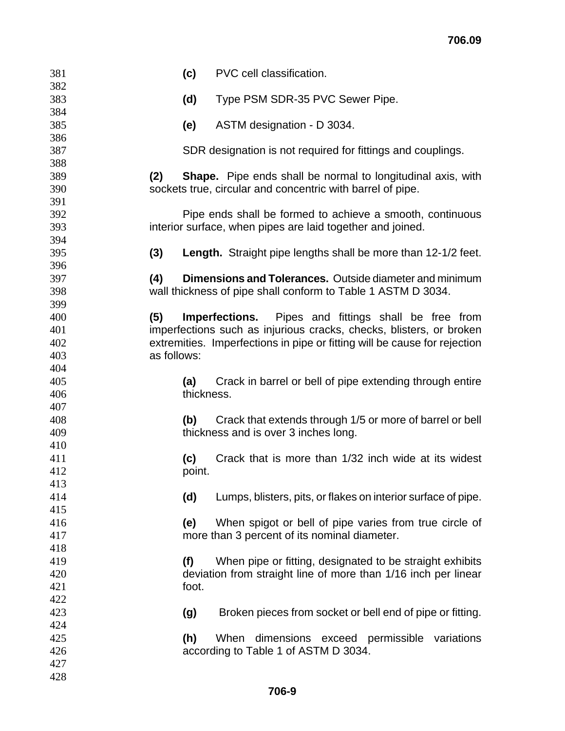| 381        | (c)<br>PVC cell classification.                                             |
|------------|-----------------------------------------------------------------------------|
| 382<br>383 | Type PSM SDR-35 PVC Sewer Pipe.<br>(d)                                      |
| 384        |                                                                             |
| 385        | ASTM designation - D 3034.<br>(e)                                           |
| 386        |                                                                             |
| 387<br>388 | SDR designation is not required for fittings and couplings.                 |
| 389        | <b>Shape.</b> Pipe ends shall be normal to longitudinal axis, with<br>(2)   |
| 390        | sockets true, circular and concentric with barrel of pipe.                  |
| 391        |                                                                             |
| 392        | Pipe ends shall be formed to achieve a smooth, continuous                   |
| 393        | interior surface, when pipes are laid together and joined.                  |
| 394<br>395 | (3)<br><b>Length.</b> Straight pipe lengths shall be more than 12-1/2 feet. |
| 396        |                                                                             |
| 397        | Dimensions and Tolerances. Outside diameter and minimum<br>(4)              |
| 398        | wall thickness of pipe shall conform to Table 1 ASTM D 3034.                |
| 399        |                                                                             |
| 400        | (5)<br><b>Imperfections.</b> Pipes and fittings shall be free from          |
| 401        | imperfections such as injurious cracks, checks, blisters, or broken         |
| 402        | extremities. Imperfections in pipe or fitting will be cause for rejection   |
| 403<br>404 | as follows:                                                                 |
| 405        | Crack in barrel or bell of pipe extending through entire<br>(a)             |
| 406        | thickness.                                                                  |
| 407        |                                                                             |
| 408        | Crack that extends through 1/5 or more of barrel or bell<br>(b)             |
| 409        | thickness and is over 3 inches long.                                        |
| 410        |                                                                             |
| 411        | (c)<br>Crack that is more than 1/32 inch wide at its widest                 |
| 412        | point.                                                                      |
| 413<br>414 | (d)<br>Lumps, blisters, pits, or flakes on interior surface of pipe.        |
| 415        |                                                                             |
| 416        | When spigot or bell of pipe varies from true circle of<br>(e)               |
| 417        | more than 3 percent of its nominal diameter.                                |
| 418        |                                                                             |
| 419        | (f)<br>When pipe or fitting, designated to be straight exhibits             |
| 420        | deviation from straight line of more than 1/16 inch per linear              |
| 421        | foot.                                                                       |
| 422        |                                                                             |
| 423        | Broken pieces from socket or bell end of pipe or fitting.<br>(g)            |
| 424<br>425 | (h)<br>When dimensions exceed permissible variations                        |
| 426        | according to Table 1 of ASTM D 3034.                                        |
| 427        |                                                                             |
| 428        |                                                                             |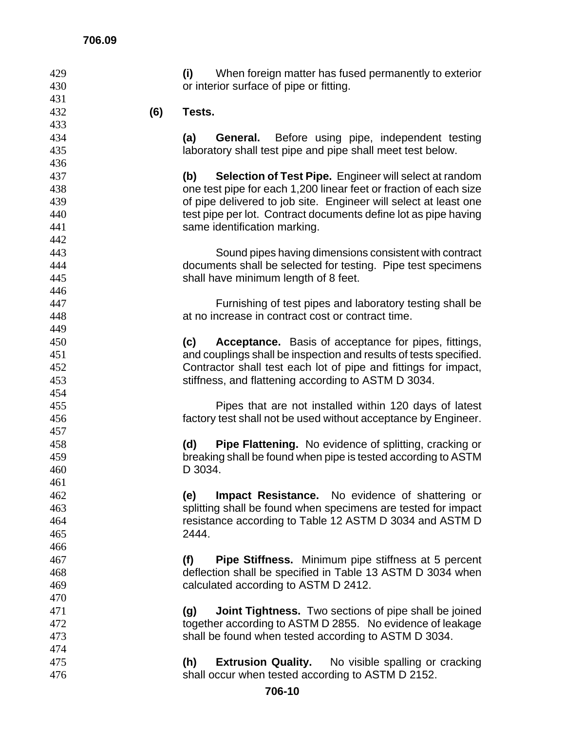| 429        |     | (i)<br>When foreign matter has fused permanently to exterior         |  |  |  |  |
|------------|-----|----------------------------------------------------------------------|--|--|--|--|
| 430        |     | or interior surface of pipe or fitting.                              |  |  |  |  |
| 431        |     |                                                                      |  |  |  |  |
| 432        | (6) | Tests.                                                               |  |  |  |  |
| 433        |     |                                                                      |  |  |  |  |
| 434        |     | <b>General.</b> Before using pipe, independent testing<br>(a)        |  |  |  |  |
| 435        |     | laboratory shall test pipe and pipe shall meet test below.           |  |  |  |  |
| 436        |     |                                                                      |  |  |  |  |
| 437        |     | <b>Selection of Test Pipe.</b> Engineer will select at random<br>(b) |  |  |  |  |
| 438        |     | one test pipe for each 1,200 linear feet or fraction of each size    |  |  |  |  |
| 439        |     | of pipe delivered to job site. Engineer will select at least one     |  |  |  |  |
| 440        |     | test pipe per lot. Contract documents define lot as pipe having      |  |  |  |  |
| 441        |     | same identification marking.                                         |  |  |  |  |
| 442        |     |                                                                      |  |  |  |  |
| 443        |     | Sound pipes having dimensions consistent with contract               |  |  |  |  |
| 444        |     | documents shall be selected for testing. Pipe test specimens         |  |  |  |  |
| 445        |     | shall have minimum length of 8 feet.                                 |  |  |  |  |
| 446        |     |                                                                      |  |  |  |  |
| 447        |     | Furnishing of test pipes and laboratory testing shall be             |  |  |  |  |
| 448        |     | at no increase in contract cost or contract time.                    |  |  |  |  |
| 449        |     |                                                                      |  |  |  |  |
| 450        |     | Acceptance. Basis of acceptance for pipes, fittings,<br>(c)          |  |  |  |  |
| 451        |     | and couplings shall be inspection and results of tests specified.    |  |  |  |  |
| 452        |     | Contractor shall test each lot of pipe and fittings for impact,      |  |  |  |  |
| 453        |     | stiffness, and flattening according to ASTM D 3034.                  |  |  |  |  |
| 454        |     |                                                                      |  |  |  |  |
| 455        |     | Pipes that are not installed within 120 days of latest               |  |  |  |  |
| 456        |     | factory test shall not be used without acceptance by Engineer.       |  |  |  |  |
| 457        |     |                                                                      |  |  |  |  |
| 458        |     | <b>Pipe Flattening.</b> No evidence of splitting, cracking or<br>(d) |  |  |  |  |
| 459        |     | breaking shall be found when pipe is tested according to ASTM        |  |  |  |  |
| 460        |     | D 3034.                                                              |  |  |  |  |
| 461        |     |                                                                      |  |  |  |  |
| 462        |     | <b>Impact Resistance.</b> No evidence of shattering or<br>(e)        |  |  |  |  |
| 463        |     | splitting shall be found when specimens are tested for impact        |  |  |  |  |
| 464        |     | resistance according to Table 12 ASTM D 3034 and ASTM D              |  |  |  |  |
| 465        |     | 2444.                                                                |  |  |  |  |
| 466        |     |                                                                      |  |  |  |  |
| 467        |     | <b>Pipe Stiffness.</b> Minimum pipe stiffness at 5 percent<br>(f)    |  |  |  |  |
| 468        |     | deflection shall be specified in Table 13 ASTM D 3034 when           |  |  |  |  |
| 469        |     | calculated according to ASTM D 2412.                                 |  |  |  |  |
| 470        |     |                                                                      |  |  |  |  |
|            |     |                                                                      |  |  |  |  |
| 471        |     | <b>Joint Tightness.</b> Two sections of pipe shall be joined<br>(g)  |  |  |  |  |
| 472<br>473 |     | together according to ASTM D 2855. No evidence of leakage            |  |  |  |  |
|            |     | shall be found when tested according to ASTM D 3034.                 |  |  |  |  |
| 474        |     |                                                                      |  |  |  |  |
| 475        |     | <b>Extrusion Quality.</b><br>No visible spalling or cracking<br>(h)  |  |  |  |  |
| 476        |     | shall occur when tested according to ASTM D 2152.                    |  |  |  |  |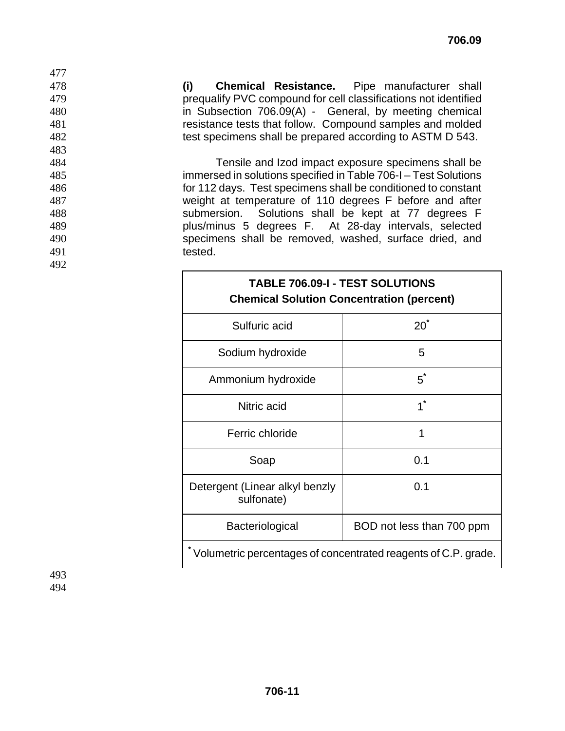**(i) Chemical Resistance.** Pipe manufacturer shall prequalify PVC compound for cell classifications not identified in Subsection 706.09(A) - General, by meeting chemical resistance tests that follow. Compound samples and molded test specimens shall be prepared according to ASTM D 543.

Tensile and Izod impact exposure specimens shall be immersed in solutions specified in Table 706-I – Test Solutions for 112 days. Test specimens shall be conditioned to constant weight at temperature of 110 degrees F before and after submersion. Solutions shall be kept at 77 degrees F plus/minus 5 degrees F. At 28-day intervals, selected specimens shall be removed, washed, surface dried, and 491 tested.

| <b>TABLE 706.09-I - TEST SOLUTIONS</b><br><b>Chemical Solution Concentration (percent)</b> |                           |  |  |  |
|--------------------------------------------------------------------------------------------|---------------------------|--|--|--|
| Sulfuric acid                                                                              | $20^{\degree}$            |  |  |  |
| Sodium hydroxide                                                                           | 5                         |  |  |  |
| Ammonium hydroxide                                                                         | $5^*$                     |  |  |  |
| Nitric acid                                                                                | $1^*$                     |  |  |  |
| Ferric chloride                                                                            | 1                         |  |  |  |
| Soap                                                                                       | 0.1                       |  |  |  |
| Detergent (Linear alkyl benzly<br>sulfonate)                                               | 0.1                       |  |  |  |
| Bacteriological                                                                            | BOD not less than 700 ppm |  |  |  |
| Volumetric percentages of concentrated reagents of C.P. grade.                             |                           |  |  |  |

493 494

477

483

492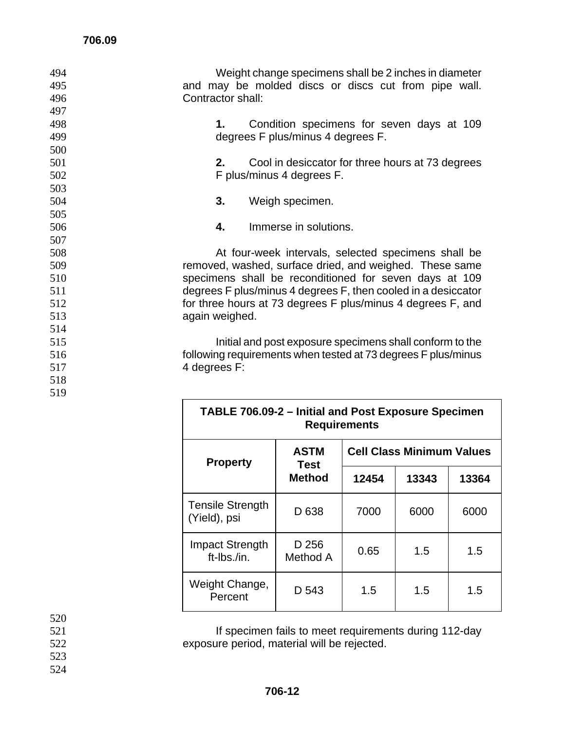| 494 | Weight change specimens shall be 2 inches in diameter         |
|-----|---------------------------------------------------------------|
| 495 | and may be molded discs or discs cut from pipe wall.          |
| 496 | Contractor shall:                                             |
| 497 |                                                               |
| 498 | Condition specimens for seven days at 109<br>1.               |
| 499 | degrees F plus/minus 4 degrees F.                             |
| 500 |                                                               |
| 501 | 2.<br>Cool in desiccator for three hours at 73 degrees        |
| 502 | F plus/minus 4 degrees F.                                     |
| 503 |                                                               |
| 504 | 3.<br>Weigh specimen.                                         |
| 505 |                                                               |
| 506 | 4.<br>Immerse in solutions.                                   |
| 507 |                                                               |
| 508 | At four-week intervals, selected specimens shall be           |
| 509 | removed, washed, surface dried, and weighed. These same       |
| 510 | specimens shall be reconditioned for seven days at 109        |
| 511 | degrees F plus/minus 4 degrees F, then cooled in a desiccator |
| 512 | for three hours at 73 degrees F plus/minus 4 degrees F, and   |
| 513 | again weighed.                                                |
| 514 |                                                               |
| 515 | Initial and post exposure specimens shall conform to the      |
| 516 | following requirements when tested at 73 degrees F plus/minus |
| 517 | 4 degrees F:                                                  |
| 518 |                                                               |
| 519 |                                                               |

| TABLE 706.09-2 - Initial and Post Exposure Specimen<br><b>Requirements</b> |                     |                                  |       |       |  |  |
|----------------------------------------------------------------------------|---------------------|----------------------------------|-------|-------|--|--|
| <b>Property</b>                                                            | <b>ASTM</b><br>Test | <b>Cell Class Minimum Values</b> |       |       |  |  |
|                                                                            | Method              | 12454                            | 13343 | 13364 |  |  |
| <b>Tensile Strength</b><br>(Yield), psi                                    | D 638               | 7000                             | 6000  | 6000  |  |  |
| <b>Impact Strength</b><br>ft-Ibs./in.                                      | D 256<br>Method A   | 0.65                             | 1.5   | 1.5   |  |  |
| Weight Change,<br>Percent                                                  | D 543               | 1.5                              | 1.5   | 1.5   |  |  |

520<br>521 **If specimen fails to meet requirements during 112-day** 

- exposure period, material will be rejected.
- 
-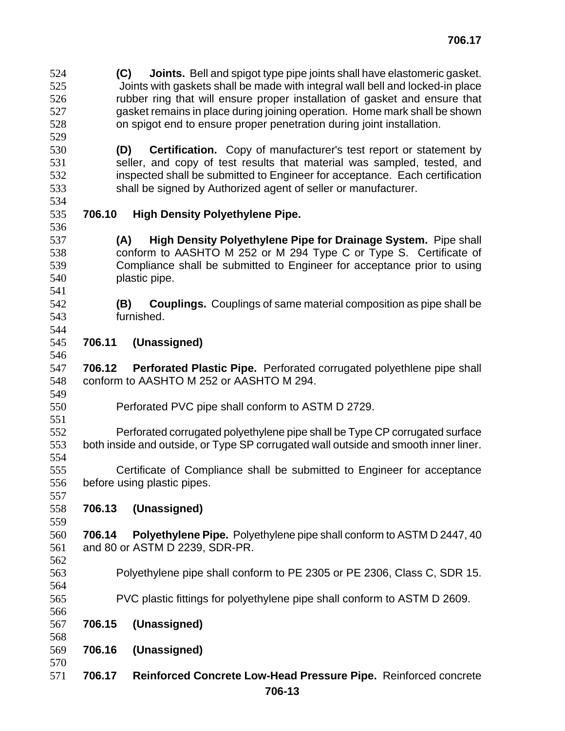**(C) Joints.** Bell and spigot type pipe joints shall have elastomeric gasket. Joints with gaskets shall be made with integral wall bell and locked-in place rubber ring that will ensure proper installation of gasket and ensure that gasket remains in place during joining operation. Home mark shall be shown on spigot end to ensure proper penetration during joint installation. 

- **(D) Certification.** Copy of manufacturer's test report or statement by 531 seller, and copy of test results that material was sampled, tested, and inspected shall be submitted to Engineer for acceptance. Each certification shall be signed by Authorized agent of seller or manufacturer.
- 

## **706.10 High Density Polyethylene Pipe.**

**(A) High Density Polyethylene Pipe for Drainage System.** Pipe shall conform to AASHTO M 252 or M 294 Type C or Type S. Certificate of Compliance shall be submitted to Engineer for acceptance prior to using plastic pipe.

- **(B) Couplings.** Couplings of same material composition as pipe shall be furnished.
- **706.11 (Unassigned)**

**706.12 Perforated Plastic Pipe.** Perforated corrugated polyethlene pipe shall conform to AASHTO M 252 or AASHTO M 294. 

Perforated PVC pipe shall conform to ASTM D 2729.

 Perforated corrugated polyethylene pipe shall be Type CP corrugated surface both inside and outside, or Type SP corrugated wall outside and smooth inner liner. 

Certificate of Compliance shall be submitted to Engineer for acceptance before using plastic pipes. 

**706.13 (Unassigned)** 

**706.14 Polyethylene Pipe.** Polyethylene pipe shall conform to ASTM D 2447, 40 and 80 or ASTM D 2239, SDR-PR. 

- Polyethylene pipe shall conform to PE 2305 or PE 2306, Class C, SDR 15.
- PVC plastic fittings for polyethylene pipe shall conform to ASTM D 2609.
- **706.15 (Unassigned)**
- **706.16 (Unassigned)**
- **706.17 Reinforced Concrete Low-Head Pressure Pipe.** Reinforced concrete